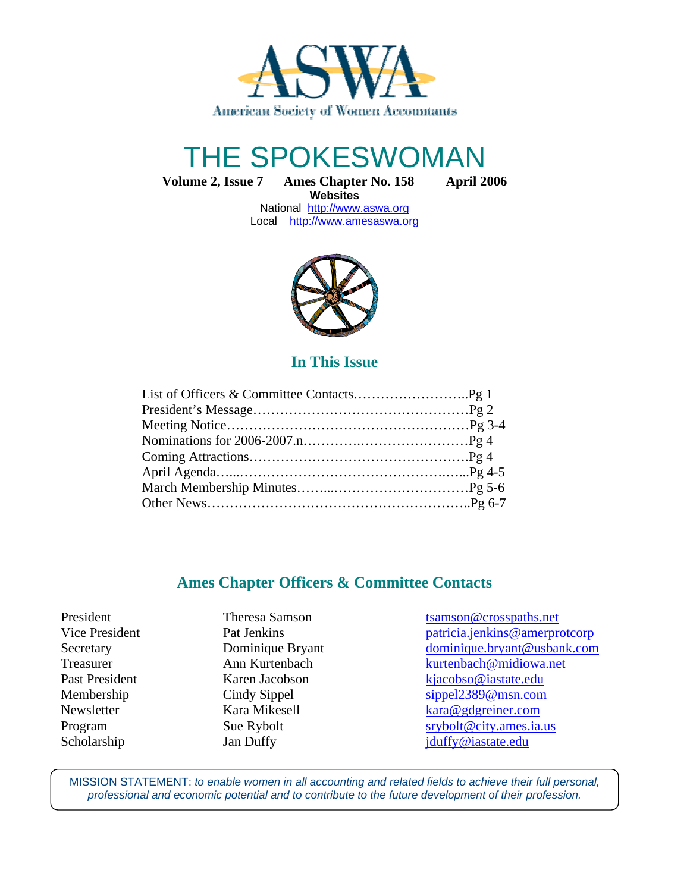

# THE SPOKESWOMAN

**Volume 2, Issue 7 Ames Chapter No. 158 April 2006**

**Websites**  National http://www.aswa.org Local http://www.amesaswa.org



# **In This Issue**

## **Ames Chapter Officers & Committee Contacts**

Ī

President Theresa Samson tsamson transmospaths.net Vice President Pat Jenkins Pat Veneticia.jenkins @amerprotcorp Secretary Dominique Bryant dominique.bryant @usbank.com Treasurer Ann Kurtenbach kurtenbach **Russell** kurtenbach **ann an Ann Kurtenbach** kurtenbach **an** kurtenbach **m**idiowa.net Past President Karen Jacobson kjacobso@iastate.edu Membership Cindy Sippel Sippel sippel 2389@msn.com Newsletter Kara Mikesell kara@gdgreiner.com Program Sue Rybolt srybolt srybolt example strike strategies strategies and strike strategies strategies and structure strategies of the Sue Rybolt strategies strategies and structure strategies of the Sue Rybolt strategie Scholarship Jan Duffy Jan Duffy jduffy@iastate.edu

MISSION STATEMENT: to enable women in all accounting and related fields to achieve their full personal, professional and economic potential and to contribute to the future development of their profession.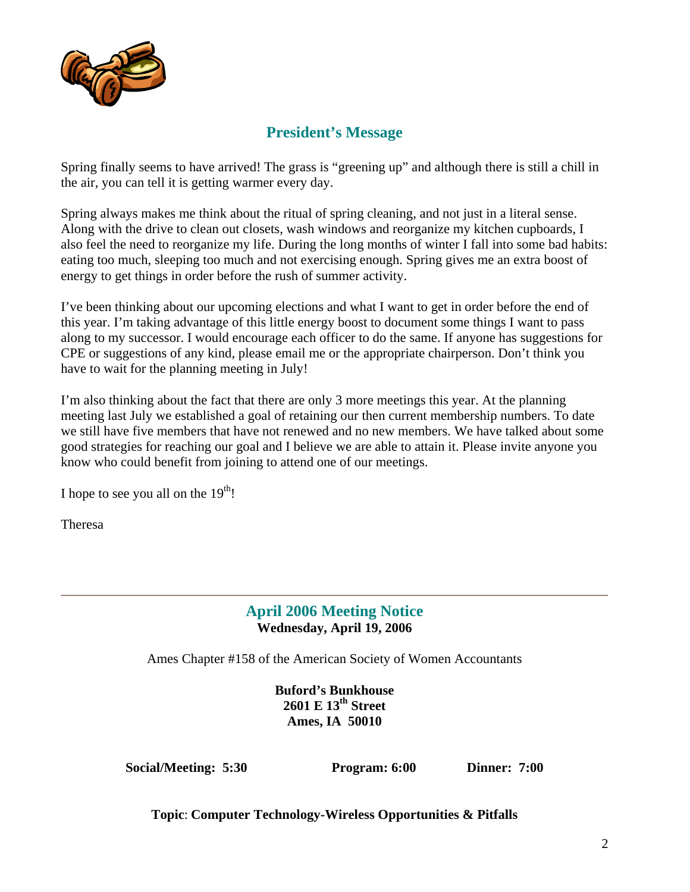

# **President's Message**

Spring finally seems to have arrived! The grass is "greening up" and although there is still a chill in the air, you can tell it is getting warmer every day.

Spring always makes me think about the ritual of spring cleaning, and not just in a literal sense. Along with the drive to clean out closets, wash windows and reorganize my kitchen cupboards, I also feel the need to reorganize my life. During the long months of winter I fall into some bad habits: eating too much, sleeping too much and not exercising enough. Spring gives me an extra boost of energy to get things in order before the rush of summer activity.

I've been thinking about our upcoming elections and what I want to get in order before the end of this year. I'm taking advantage of this little energy boost to document some things I want to pass along to my successor. I would encourage each officer to do the same. If anyone has suggestions for CPE or suggestions of any kind, please email me or the appropriate chairperson. Don't think you have to wait for the planning meeting in July!

I'm also thinking about the fact that there are only 3 more meetings this year. At the planning meeting last July we established a goal of retaining our then current membership numbers. To date we still have five members that have not renewed and no new members. We have talked about some good strategies for reaching our goal and I believe we are able to attain it. Please invite anyone you know who could benefit from joining to attend one of our meetings.

I hope to see you all on the  $19<sup>th</sup>$ !

Theresa

# **April 2006 Meeting Notice Wednesday, April 19, 2006**

Ames Chapter #158 of the American Society of Women Accountants

**Buford's Bunkhouse 2601 E 13th Street Ames, IA 50010** 

**Social/Meeting: 5:30 Program: 6:00 Dinner: 7:00** 

**Topic**: **Computer Technology-Wireless Opportunities & Pitfalls**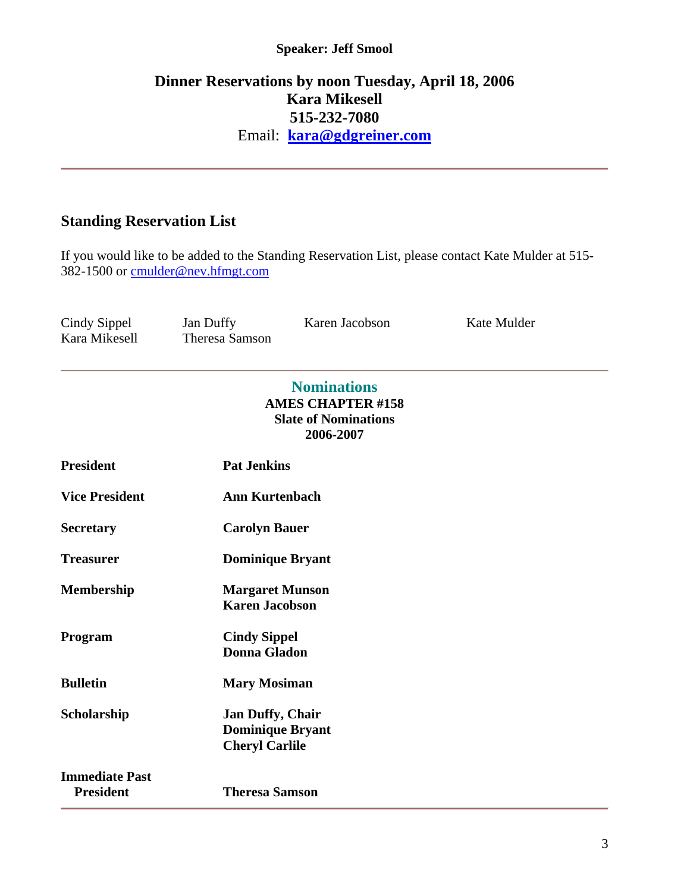#### **Speaker: Jeff Smool**

# **Dinner Reservations by noon Tuesday, April 18, 2006 Kara Mikesell 515-232-7080** Email: **kara@gdgreiner.com**

# **Standing Reservation List**

If you would like to be added to the Standing Reservation List, please contact Kate Mulder at 515- 382-1500 or cmulder@nev.hfmgt.com

Cindy Sippel Jan Duffy Karen Jacobson Kate Mulder<br>Kara Mikesell Theresa Samson Theresa Samson

#### **Nominations AMES CHAPTER #158 Slate of Nominations 2006-2007**

| <b>President</b>                          | <b>Pat Jenkins</b>                                                          |  |
|-------------------------------------------|-----------------------------------------------------------------------------|--|
| <b>Vice President</b>                     | Ann Kurtenbach                                                              |  |
| <b>Secretary</b>                          | <b>Carolyn Bauer</b>                                                        |  |
| Treasurer                                 | <b>Dominique Bryant</b>                                                     |  |
| <b>Membership</b>                         | <b>Margaret Munson</b><br><b>Karen Jacobson</b>                             |  |
| Program                                   | <b>Cindy Sippel</b><br>Donna Gladon                                         |  |
| <b>Bulletin</b>                           | <b>Mary Mosiman</b>                                                         |  |
| Scholarship                               | <b>Jan Duffy, Chair</b><br><b>Dominique Bryant</b><br><b>Cheryl Carlile</b> |  |
| <b>Immediate Past</b><br><b>President</b> | <b>Theresa Samson</b>                                                       |  |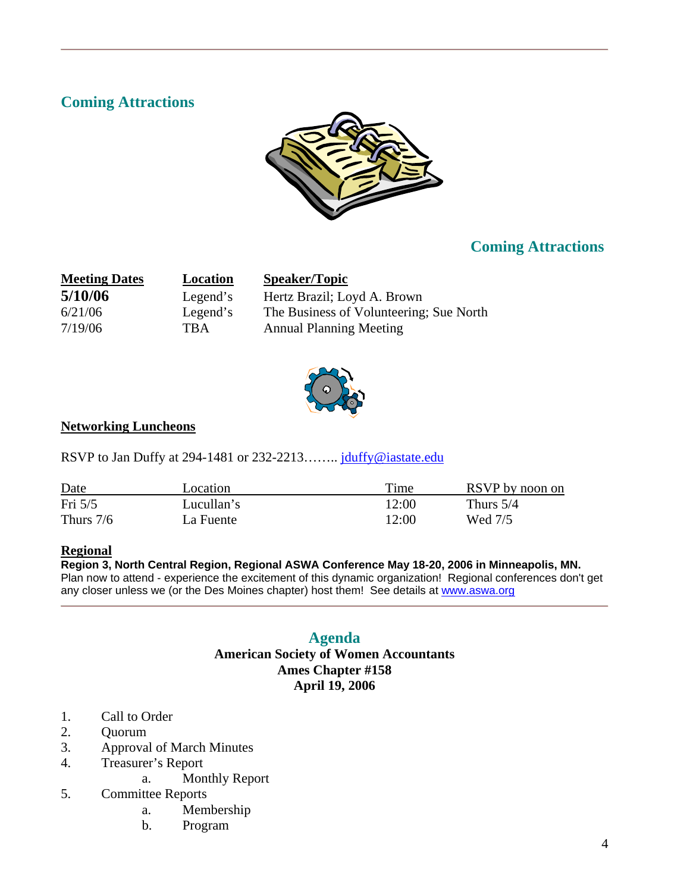# **Coming Attractions**



# **Coming Attractions**

| <b>Meeting Dates</b> | Location   | <b>Speaker/Topic</b>                    |
|----------------------|------------|-----------------------------------------|
| 5/10/06              | Legend's   | Hertz Brazil; Loyd A. Brown             |
| 6/21/06              | Legend's   | The Business of Volunteering; Sue North |
| 7/19/06              | <b>TBA</b> | <b>Annual Planning Meeting</b>          |



#### **Networking Luncheons**

RSVP to Jan Duffy at 294-1481 or 232-2213........ juluffy@iastate.edu

| Date        | Location   | Time  | RSVP by noon on |
|-------------|------------|-------|-----------------|
| Fri $5/5$   | Lucullan's | 12:00 | Thurs $5/4$     |
| Thurs $7/6$ | La Fuente  | 12:00 | Wed 7/5         |

#### **Regional**

#### **Region 3, North Central Region, Regional ASWA Conference May 18-20, 2006 in Minneapolis, MN.**

Plan now to attend - experience the excitement of this dynamic organization! Regional conferences don't get any closer unless we (or the Des Moines chapter) host them! See details at www.aswa.org

## **Agenda**

#### **American Society of Women Accountants Ames Chapter #158 April 19, 2006**

- 1. Call to Order
- 2. Quorum
- 3. Approval of March Minutes
- 4. Treasurer's Report
- a. Monthly Report<br>5. Committee Reports
- 5. Committee Reports
	- a. Membership
	- b. Program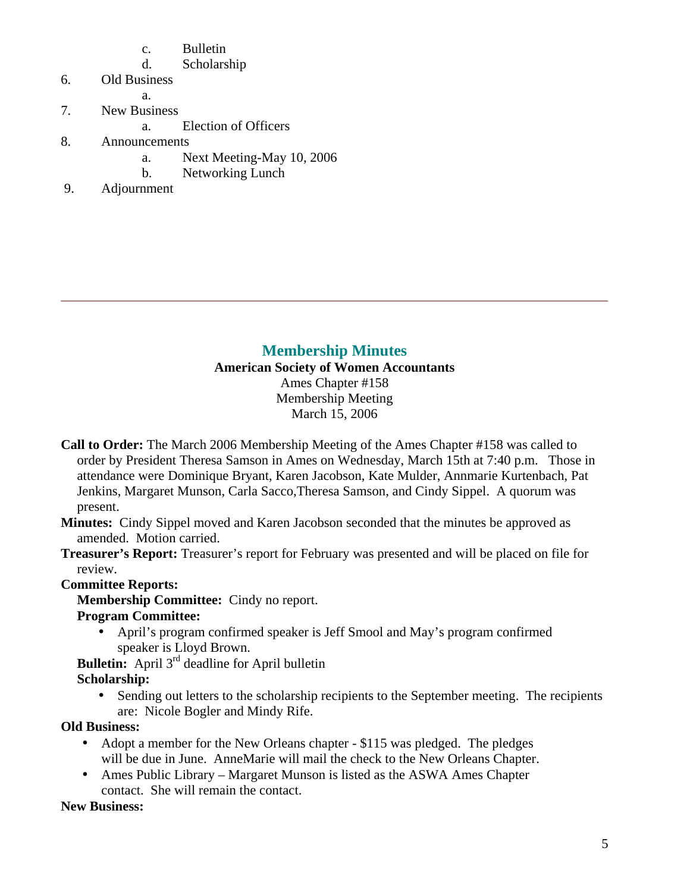- c. Bulletin
- d. Scholarship
- 6. Old Business
- a.
- 7. New Business
	- a. Election of Officers
- 8. Announcements
	- a. Next Meeting-May 10, 2006
	- b. Networking Lunch
- 9. Adjournment

# **Membership Minutes**

**American Society of Women Accountants**  Ames Chapter #158 Membership Meeting March 15, 2006

**Call to Order:** The March 2006 Membership Meeting of the Ames Chapter #158 was called to order by President Theresa Samson in Ames on Wednesday, March 15th at 7:40 p.m. Those in attendance were Dominique Bryant, Karen Jacobson, Kate Mulder, Annmarie Kurtenbach, Pat Jenkins, Margaret Munson, Carla Sacco,Theresa Samson, and Cindy Sippel. A quorum was present.

**Minutes:** Cindy Sippel moved and Karen Jacobson seconded that the minutes be approved as amended. Motion carried.

**Treasurer's Report:** Treasurer's report for February was presented and will be placed on file for review.

## **Committee Reports:**

**Membership Committee:** Cindy no report.

#### **Program Committee:**

• April's program confirmed speaker is Jeff Smool and May's program confirmed speaker is Lloyd Brown.

**Bulletin:** April 3<sup>rd</sup> deadline for April bulletin

#### **Scholarship:**

• Sending out letters to the scholarship recipients to the September meeting. The recipients are: Nicole Bogler and Mindy Rife.

## **Old Business:**

- Adopt a member for the New Orleans chapter \$115 was pledged. The pledges will be due in June. AnneMarie will mail the check to the New Orleans Chapter.
- Ames Public Library Margaret Munson is listed as the ASWA Ames Chapter contact. She will remain the contact.

## **New Business:**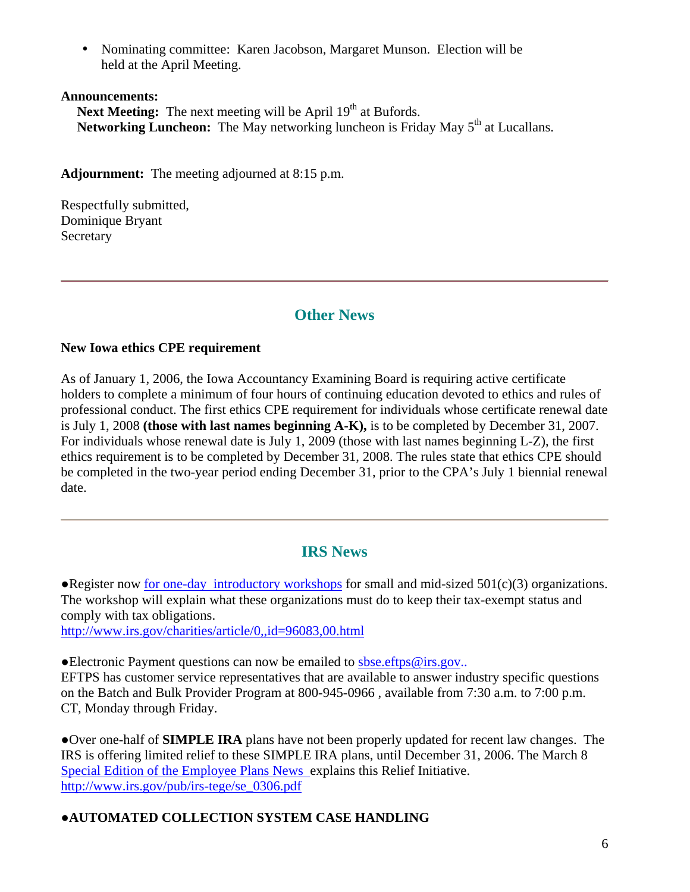• Nominating committee: Karen Jacobson, Margaret Munson. Election will be held at the April Meeting.

#### **Announcements:**

**Next Meeting:** The next meeting will be April 19<sup>th</sup> at Bufords. **Networking Luncheon:** The May networking luncheon is Friday May 5<sup>th</sup> at Lucallans.

**Adjournment:** The meeting adjourned at 8:15 p.m.

Respectfully submitted, Dominique Bryant **Secretary** 

# **Other News**

#### **New Iowa ethics CPE requirement**

As of January 1, 2006, the Iowa Accountancy Examining Board is requiring active certificate holders to complete a minimum of four hours of continuing education devoted to ethics and rules of professional conduct. The first ethics CPE requirement for individuals whose certificate renewal date is July 1, 2008 **(those with last names beginning A-K),** is to be completed by December 31, 2007. For individuals whose renewal date is July 1, 2009 (those with last names beginning L-Z), the first ethics requirement is to be completed by December 31, 2008. The rules state that ethics CPE should be completed in the two-year period ending December 31, prior to the CPA's July 1 biennial renewal date.

## **IRS News**

• Register now for one-day introductory workshops for small and mid-sized  $501(c)(3)$  organizations. The workshop will explain what these organizations must do to keep their tax-exempt status and comply with tax obligations.

http://www.irs.gov/charities/article/0,,id=96083,00.html

 $\bullet$ Electronic Payment questions can now be emailed to sbse.eftps@irs.gov..

EFTPS has customer service representatives that are available to answer industry specific questions on the Batch and Bulk Provider Program at 800-945-0966 , available from 7:30 a.m. to 7:00 p.m. CT, Monday through Friday.

●Over one-half of **SIMPLE IRA** plans have not been properly updated for recent law changes. The IRS is offering limited relief to these SIMPLE IRA plans, until December 31, 2006. The March 8 Special Edition of the Employee Plans News explains this Relief Initiative. http://www.irs.gov/pub/irs-tege/se\_0306.pdf

## ●**AUTOMATED COLLECTION SYSTEM CASE HANDLING**